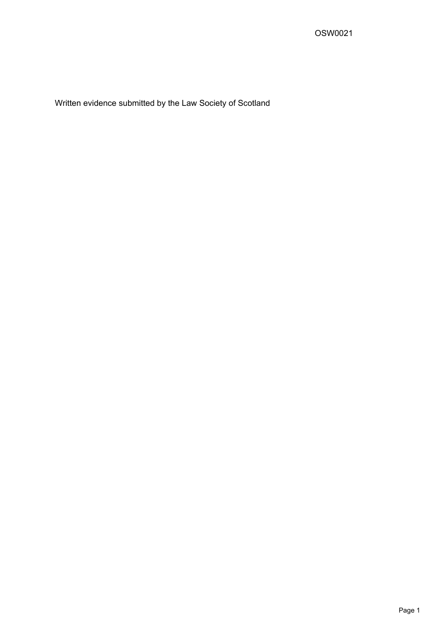Written evidence submitted by the Law Society of Scotland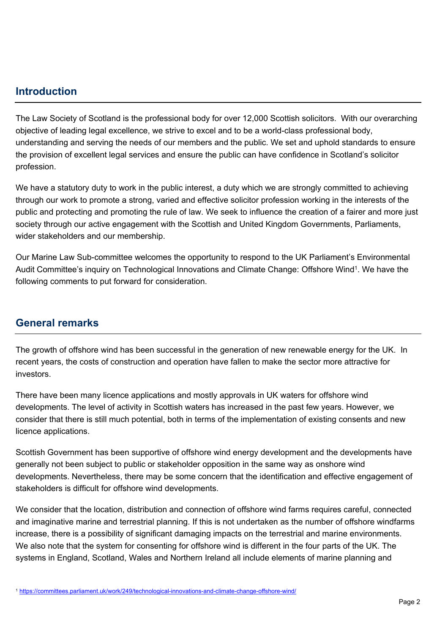# **Introduction**

The Law Society of Scotland is the professional body for over 12,000 Scottish solicitors. With our overarching objective of leading legal excellence, we strive to excel and to be a world-class professional body, understanding and serving the needs of our members and the public. We set and uphold standards to ensure the provision of excellent legal services and ensure the public can have confidence in Scotland's solicitor profession.

We have a statutory duty to work in the public interest, a duty which we are strongly committed to achieving through our work to promote a strong, varied and effective solicitor profession working in the interests of the public and protecting and promoting the rule of law. We seek to influence the creation of a fairer and more just society through our active engagement with the Scottish and United Kingdom Governments, Parliaments, wider stakeholders and our membership.

Our Marine Law Sub-committee welcomes the opportunity to respond to the UK Parliament's Environmental Audit Committee's inquiry on Technological Innovations and Climate Change: Offshore Wind<sup>1</sup>. We have the following comments to put forward for consideration.

# **General remarks**

The growth of offshore wind has been successful in the generation of new renewable energy for the UK. In recent years, the costs of construction and operation have fallen to make the sector more attractive for investors.

There have been many licence applications and mostly approvals in UK waters for offshore wind developments. The level of activity in Scottish waters has increased in the past few years. However, we consider that there is still much potential, both in terms of the implementation of existing consents and new licence applications.

Scottish Government has been supportive of offshore wind energy development and the developments have generally not been subject to public or stakeholder opposition in the same way as onshore wind developments. Nevertheless, there may be some concern that the identification and effective engagement of stakeholders is difficult for offshore wind developments.

We consider that the location, distribution and connection of offshore wind farms requires careful, connected and imaginative marine and terrestrial planning. If this is not undertaken as the number of offshore windfarms increase, there is a possibility of significant damaging impacts on the terrestrial and marine environments. We also note that the system for consenting for offshore wind is different in the four parts of the UK. The systems in England, Scotland, Wales and Northern Ireland all include elements of marine planning and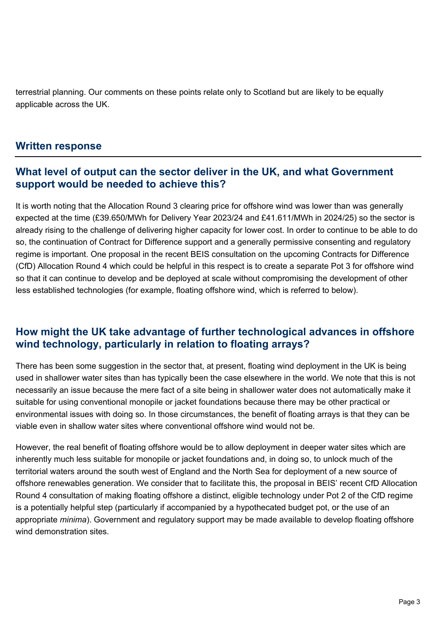terrestrial planning. Our comments on these points relate only to Scotland but are likely to be equally applicable across the UK.

#### **Written response**

#### **What level of output can the sector deliver in the UK, and what Government support would be needed to achieve this?**

It is worth noting that the Allocation Round 3 clearing price for offshore wind was lower than was generally expected at the time (£39.650/MWh for Delivery Year 2023/24 and £41.611/MWh in 2024/25) so the sector is already rising to the challenge of delivering higher capacity for lower cost. In order to continue to be able to do so, the continuation of Contract for Difference support and a generally permissive consenting and regulatory regime is important. One proposal in the recent BEIS consultation on the upcoming Contracts for Difference (CfD) Allocation Round 4 which could be helpful in this respect is to create a separate Pot 3 for offshore wind so that it can continue to develop and be deployed at scale without compromising the development of other less established technologies (for example, floating offshore wind, which is referred to below).

# **How might the UK take advantage of further technological advances in offshore wind technology, particularly in relation to floating arrays?**

There has been some suggestion in the sector that, at present, floating wind deployment in the UK is being used in shallower water sites than has typically been the case elsewhere in the world. We note that this is not necessarily an issue because the mere fact of a site being in shallower water does not automatically make it suitable for using conventional monopile or jacket foundations because there may be other practical or environmental issues with doing so. In those circumstances, the benefit of floating arrays is that they can be viable even in shallow water sites where conventional offshore wind would not be.

However, the real benefit of floating offshore would be to allow deployment in deeper water sites which are inherently much less suitable for monopile or jacket foundations and, in doing so, to unlock much of the territorial waters around the south west of England and the North Sea for deployment of a new source of offshore renewables generation. We consider that to facilitate this, the proposal in BEIS' recent CfD Allocation Round 4 consultation of making floating offshore a distinct, eligible technology under Pot 2 of the CfD regime is a potentially helpful step (particularly if accompanied by a hypothecated budget pot, or the use of an appropriate *minima*). Government and regulatory support may be made available to develop floating offshore wind demonstration sites.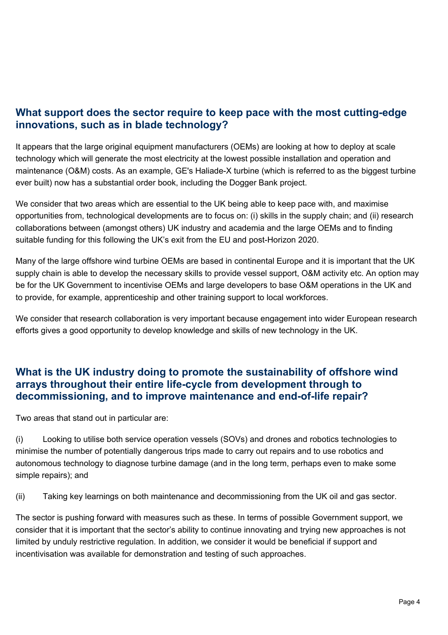# **What support does the sector require to keep pace with the most cutting-edge innovations, such as in blade technology?**

It appears that the large original equipment manufacturers (OEMs) are looking at how to deploy at scale technology which will generate the most electricity at the lowest possible installation and operation and maintenance (O&M) costs. As an example, GE's Haliade-X turbine (which is referred to as the biggest turbine ever built) now has a substantial order book, including the Dogger Bank project.

We consider that two areas which are essential to the UK being able to keep pace with, and maximise opportunities from, technological developments are to focus on: (i) skills in the supply chain; and (ii) research collaborations between (amongst others) UK industry and academia and the large OEMs and to finding suitable funding for this following the UK's exit from the EU and post-Horizon 2020.

Many of the large offshore wind turbine OEMs are based in continental Europe and it is important that the UK supply chain is able to develop the necessary skills to provide vessel support, O&M activity etc. An option may be for the UK Government to incentivise OEMs and large developers to base O&M operations in the UK and to provide, for example, apprenticeship and other training support to local workforces.

We consider that research collaboration is very important because engagement into wider European research efforts gives a good opportunity to develop knowledge and skills of new technology in the UK.

# **What is the UK industry doing to promote the sustainability of offshore wind arrays throughout their entire life-cycle from development through to decommissioning, and to improve maintenance and end-of-life repair?**

Two areas that stand out in particular are:

(i) Looking to utilise both service operation vessels (SOVs) and drones and robotics technologies to minimise the number of potentially dangerous trips made to carry out repairs and to use robotics and autonomous technology to diagnose turbine damage (and in the long term, perhaps even to make some simple repairs); and

(ii) Taking key learnings on both maintenance and decommissioning from the UK oil and gas sector.

The sector is pushing forward with measures such as these. In terms of possible Government support, we consider that it is important that the sector's ability to continue innovating and trying new approaches is not limited by unduly restrictive regulation. In addition, we consider it would be beneficial if support and incentivisation was available for demonstration and testing of such approaches.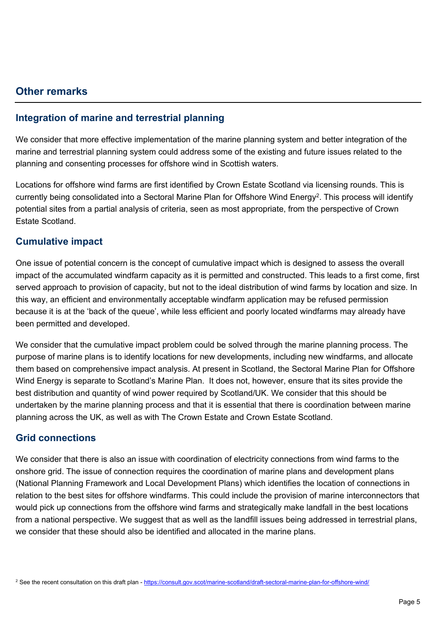#### **Other remarks**

#### **Integration of marine and terrestrial planning**

We consider that more effective implementation of the marine planning system and better integration of the marine and terrestrial planning system could address some of the existing and future issues related to the planning and consenting processes for offshore wind in Scottish waters.

Locations for offshore wind farms are first identified by Crown Estate Scotland via licensing rounds. This is currently being consolidated into a Sectoral Marine Plan for Offshore Wind Energy<sup>2</sup>. This process will identify potential sites from a partial analysis of criteria, seen as most appropriate, from the perspective of Crown Estate Scotland.

#### **Cumulative impact**

One issue of potential concern is the concept of cumulative impact which is designed to assess the overall impact of the accumulated windfarm capacity as it is permitted and constructed. This leads to a first come, first served approach to provision of capacity, but not to the ideal distribution of wind farms by location and size. In this way, an efficient and environmentally acceptable windfarm application may be refused permission because it is at the 'back of the queue', while less efficient and poorly located windfarms may already have been permitted and developed.

We consider that the cumulative impact problem could be solved through the marine planning process. The purpose of marine plans is to identify locations for new developments, including new windfarms, and allocate them based on comprehensive impact analysis. At present in Scotland, the Sectoral Marine Plan for Offshore Wind Energy is separate to Scotland's Marine Plan. It does not, however, ensure that its sites provide the best distribution and quantity of wind power required by Scotland/UK. We consider that this should be undertaken by the marine planning process and that it is essential that there is coordination between marine planning across the UK, as well as with The Crown Estate and Crown Estate Scotland.

#### **Grid connections**

We consider that there is also an issue with coordination of electricity connections from wind farms to the onshore grid. The issue of connection requires the coordination of marine plans and development plans (National Planning Framework and Local Development Plans) which identifies the location of connections in relation to the best sites for offshore windfarms. This could include the provision of marine interconnectors that would pick up connections from the offshore wind farms and strategically make landfall in the best locations from a national perspective. We suggest that as well as the landfill issues being addressed in terrestrial plans, we consider that these should also be identified and allocated in the marine plans.